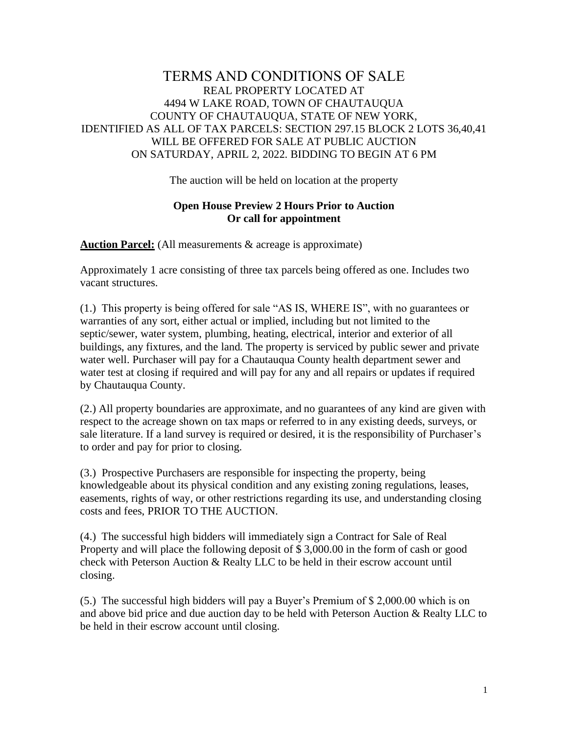## TERMS AND CONDITIONS OF SALE REAL PROPERTY LOCATED AT 4494 W LAKE ROAD, TOWN OF CHAUTAUQUA COUNTY OF CHAUTAUQUA, STATE OF NEW YORK, IDENTIFIED AS ALL OF TAX PARCELS: SECTION 297.15 BLOCK 2 LOTS 36,40,41 WILL BE OFFERED FOR SALE AT PUBLIC AUCTION ON SATURDAY, APRIL 2, 2022. BIDDING TO BEGIN AT 6 PM

The auction will be held on location at the property

## **Open House Preview 2 Hours Prior to Auction Or call for appointment**

**Auction Parcel:** (All measurements & acreage is approximate)

Approximately 1 acre consisting of three tax parcels being offered as one. Includes two vacant structures.

(1.) This property is being offered for sale "AS IS, WHERE IS", with no guarantees or warranties of any sort, either actual or implied, including but not limited to the septic/sewer, water system, plumbing, heating, electrical, interior and exterior of all buildings, any fixtures, and the land. The property is serviced by public sewer and private water well. Purchaser will pay for a Chautauqua County health department sewer and water test at closing if required and will pay for any and all repairs or updates if required by Chautauqua County.

(2.) All property boundaries are approximate, and no guarantees of any kind are given with respect to the acreage shown on tax maps or referred to in any existing deeds, surveys, or sale literature. If a land survey is required or desired, it is the responsibility of Purchaser's to order and pay for prior to closing.

(3.) Prospective Purchasers are responsible for inspecting the property, being knowledgeable about its physical condition and any existing zoning regulations, leases, easements, rights of way, or other restrictions regarding its use, and understanding closing costs and fees, PRIOR TO THE AUCTION.

(4.) The successful high bidders will immediately sign a Contract for Sale of Real Property and will place the following deposit of \$ 3,000.00 in the form of cash or good check with Peterson Auction & Realty LLC to be held in their escrow account until closing.

(5.) The successful high bidders will pay a Buyer's Premium of \$ 2,000.00 which is on and above bid price and due auction day to be held with Peterson Auction & Realty LLC to be held in their escrow account until closing.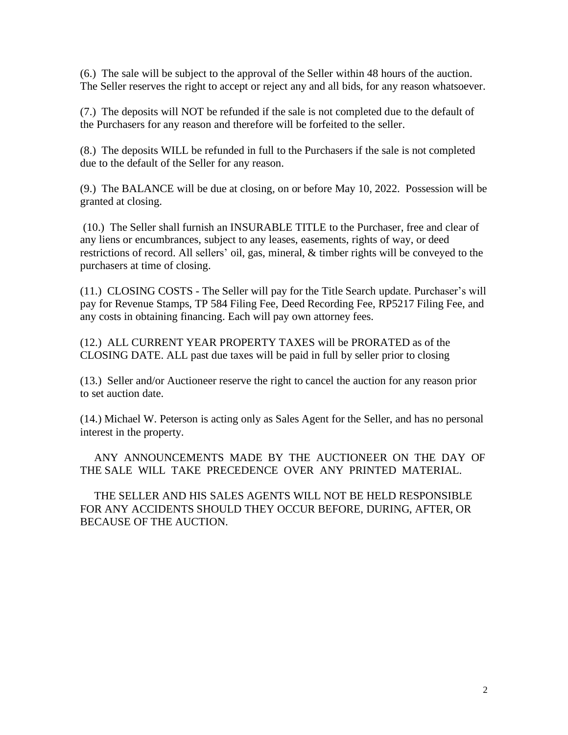(6.) The sale will be subject to the approval of the Seller within 48 hours of the auction. The Seller reserves the right to accept or reject any and all bids, for any reason whatsoever.

(7.) The deposits will NOT be refunded if the sale is not completed due to the default of the Purchasers for any reason and therefore will be forfeited to the seller.

(8.) The deposits WILL be refunded in full to the Purchasers if the sale is not completed due to the default of the Seller for any reason.

(9.) The BALANCE will be due at closing, on or before May 10, 2022. Possession will be granted at closing.

(10.) The Seller shall furnish an INSURABLE TITLE to the Purchaser, free and clear of any liens or encumbrances, subject to any leases, easements, rights of way, or deed restrictions of record. All sellers' oil, gas, mineral, & timber rights will be conveyed to the purchasers at time of closing.

(11.) CLOSING COSTS - The Seller will pay for the Title Search update. Purchaser's will pay for Revenue Stamps, TP 584 Filing Fee, Deed Recording Fee, RP5217 Filing Fee, and any costs in obtaining financing. Each will pay own attorney fees.

(12.) ALL CURRENT YEAR PROPERTY TAXES will be PRORATED as of the CLOSING DATE. ALL past due taxes will be paid in full by seller prior to closing

(13.) Seller and/or Auctioneer reserve the right to cancel the auction for any reason prior to set auction date.

(14.) Michael W. Peterson is acting only as Sales Agent for the Seller, and has no personal interest in the property.

 ANY ANNOUNCEMENTS MADE BY THE AUCTIONEER ON THE DAY OF THE SALE WILL TAKE PRECEDENCE OVER ANY PRINTED MATERIAL.

 THE SELLER AND HIS SALES AGENTS WILL NOT BE HELD RESPONSIBLE FOR ANY ACCIDENTS SHOULD THEY OCCUR BEFORE, DURING, AFTER, OR BECAUSE OF THE AUCTION.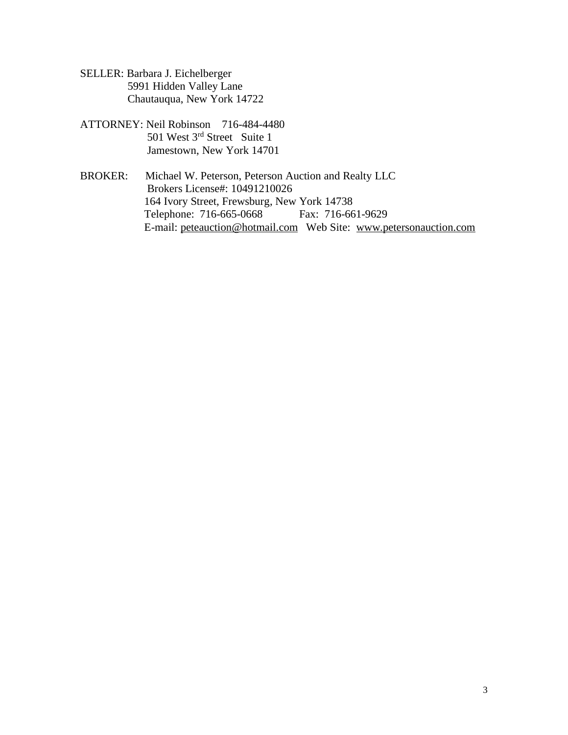- SELLER: Barbara J. Eichelberger 5991 Hidden Valley Lane Chautauqua, New York 14722
- ATTORNEY: Neil Robinson 716-484-4480 501 West 3rd Street Suite 1 Jamestown, New York 14701
- BROKER: Michael W. Peterson, Peterson Auction and Realty LLC Brokers License#: 10491210026 164 Ivory Street, Frewsburg, New York 14738 Telephone: 716-665-0668 Fax: 716-661-9629 E-mail: peteauction@hotmail.com Web Site: www.petersonauction.com